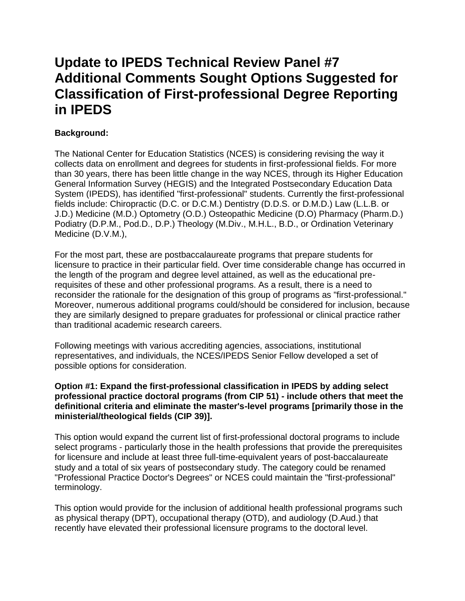# **Update to IPEDS Technical Review Panel #7 Additional Comments Sought Options Suggested for Classification of First-professional Degree Reporting in IPEDS**

## **Background:**

The National Center for Education Statistics (NCES) is considering revising the way it collects data on enrollment and degrees for students in first-professional fields. For more than 30 years, there has been little change in the way NCES, through its Higher Education General Information Survey (HEGIS) and the Integrated Postsecondary Education Data System (IPEDS), has identified "first-professional" students. Currently the first-professional fields include: Chiropractic (D.C. or D.C.M.) Dentistry (D.D.S. or D.M.D.) Law (L.L.B. or J.D.) Medicine (M.D.) Optometry (O.D.) Osteopathic Medicine (D.O) Pharmacy (Pharm.D.) Podiatry (D.P.M., Pod.D., D.P.) Theology (M.Div., M.H.L., B.D., or Ordination Veterinary Medicine (D.V.M.),

For the most part, these are postbaccalaureate programs that prepare students for licensure to practice in their particular field. Over time considerable change has occurred in the length of the program and degree level attained, as well as the educational prerequisites of these and other professional programs. As a result, there is a need to reconsider the rationale for the designation of this group of programs as "first-professional." Moreover, numerous additional programs could/should be considered for inclusion, because they are similarly designed to prepare graduates for professional or clinical practice rather than traditional academic research careers.

Following meetings with various accrediting agencies, associations, institutional representatives, and individuals, the NCES/IPEDS Senior Fellow developed a set of possible options for consideration.

#### **Option #1: Expand the first-professional classification in IPEDS by adding select professional practice doctoral programs (from CIP 51) - include others that meet the definitional criteria and eliminate the master's-level programs [primarily those in the ministerial/theological fields (CIP 39)].**

This option would expand the current list of first-professional doctoral programs to include select programs - particularly those in the health professions that provide the prerequisites for licensure and include at least three full-time-equivalent years of post-baccalaureate study and a total of six years of postsecondary study. The category could be renamed "Professional Practice Doctor's Degrees" or NCES could maintain the "first-professional" terminology.

This option would provide for the inclusion of additional health professional programs such as physical therapy (DPT), occupational therapy (OTD), and audiology (D.Aud.) that recently have elevated their professional licensure programs to the doctoral level.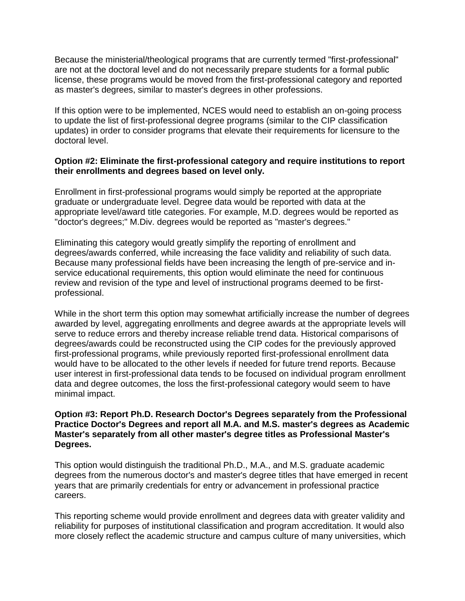Because the ministerial/theological programs that are currently termed "first-professional" are not at the doctoral level and do not necessarily prepare students for a formal public license, these programs would be moved from the first-professional category and reported as master's degrees, similar to master's degrees in other professions.

If this option were to be implemented, NCES would need to establish an on-going process to update the list of first-professional degree programs (similar to the CIP classification updates) in order to consider programs that elevate their requirements for licensure to the doctoral level.

#### **Option #2: Eliminate the first-professional category and require institutions to report their enrollments and degrees based on level only.**

Enrollment in first-professional programs would simply be reported at the appropriate graduate or undergraduate level. Degree data would be reported with data at the appropriate level/award title categories. For example, M.D. degrees would be reported as "doctor's degrees;" M.Div. degrees would be reported as "master's degrees."

Eliminating this category would greatly simplify the reporting of enrollment and degrees/awards conferred, while increasing the face validity and reliability of such data. Because many professional fields have been increasing the length of pre-service and inservice educational requirements, this option would eliminate the need for continuous review and revision of the type and level of instructional programs deemed to be firstprofessional.

While in the short term this option may somewhat artificially increase the number of degrees awarded by level, aggregating enrollments and degree awards at the appropriate levels will serve to reduce errors and thereby increase reliable trend data. Historical comparisons of degrees/awards could be reconstructed using the CIP codes for the previously approved first-professional programs, while previously reported first-professional enrollment data would have to be allocated to the other levels if needed for future trend reports. Because user interest in first-professional data tends to be focused on individual program enrollment data and degree outcomes, the loss the first-professional category would seem to have minimal impact.

#### **Option #3: Report Ph.D. Research Doctor's Degrees separately from the Professional Practice Doctor's Degrees and report all M.A. and M.S. master's degrees as Academic Master's separately from all other master's degree titles as Professional Master's Degrees.**

This option would distinguish the traditional Ph.D., M.A., and M.S. graduate academic degrees from the numerous doctor's and master's degree titles that have emerged in recent years that are primarily credentials for entry or advancement in professional practice careers.

This reporting scheme would provide enrollment and degrees data with greater validity and reliability for purposes of institutional classification and program accreditation. It would also more closely reflect the academic structure and campus culture of many universities, which